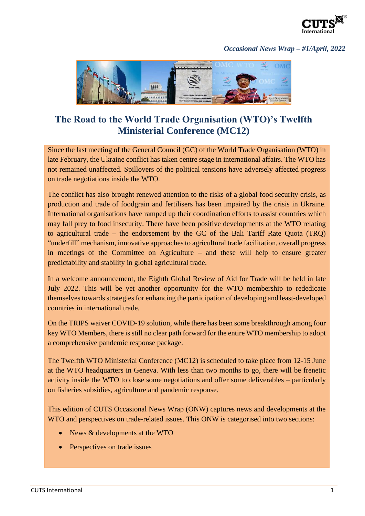

## *Occasional News Wrap – #1/April, 2022*



## **The Road to the World Trade Organisation (WTO)'s Twelfth Ministerial Conference (MC12)**

Since the last meeting of the General Council (GC) of the World Trade Organisation (WTO) in late February, the Ukraine conflict has taken centre stage in international affairs. The WTO has not remained unaffected. Spillovers of the political tensions have adversely affected progress on trade negotiations inside the WTO.

The conflict has also brought renewed attention to the risks of a global food security crisis, as production and trade of foodgrain and fertilisers has been impaired by the crisis in Ukraine. International organisations have ramped up their coordination efforts to assist countries which may fall prey to food insecurity. There have been positive developments at the WTO relating to agricultural trade – the endorsement by the GC of the Bali Tariff Rate Quota (TRQ) "underfill" mechanism, innovative approaches to agricultural trade facilitation, overall progress in meetings of the Committee on Agriculture – and these will help to ensure greater predictability and stability in global agricultural trade.

In a welcome announcement, the Eighth Global Review of Aid for Trade will be held in late July 2022. This will be yet another opportunity for the WTO membership to rededicate themselves towards strategies for enhancing the participation of developing and least-developed countries in international trade.

On the TRIPS waiver COVID-19 solution, while there has been some breakthrough among four key WTO Members, there is still no clear path forward for the entire WTO membership to adopt a comprehensive pandemic response package.

The Twelfth WTO Ministerial Conference (MC12) is scheduled to take place from 12-15 June at the WTO headquarters in Geneva. With less than two months to go, there will be frenetic activity inside the WTO to close some negotiations and offer some deliverables – particularly on fisheries subsidies, agriculture and pandemic response.

This edition of CUTS Occasional News Wrap (ONW) captures news and developments at the WTO and perspectives on trade-related issues. This ONW is categorised into two sections:

- News & developments at the WTO
- Perspectives on trade issues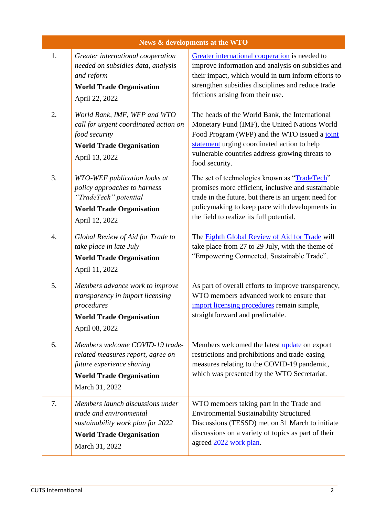| <b>News &amp; developments at the WTO</b> |                                                                                                                                                        |                                                                                                                                                                                                                                                                      |  |
|-------------------------------------------|--------------------------------------------------------------------------------------------------------------------------------------------------------|----------------------------------------------------------------------------------------------------------------------------------------------------------------------------------------------------------------------------------------------------------------------|--|
| 1.                                        | Greater international cooperation<br>needed on subsidies data, analysis<br>and reform<br><b>World Trade Organisation</b><br>April 22, 2022             | Greater international cooperation is needed to<br>improve information and analysis on subsidies and<br>their impact, which would in turn inform efforts to<br>strengthen subsidies disciplines and reduce trade<br>frictions arising from their use.                 |  |
| 2.                                        | World Bank, IMF, WFP and WTO<br>call for urgent coordinated action on<br>food security<br><b>World Trade Organisation</b><br>April 13, 2022            | The heads of the World Bank, the International<br>Monetary Fund (IMF), the United Nations World<br>Food Program (WFP) and the WTO issued a joint<br>statement urging coordinated action to help<br>vulnerable countries address growing threats to<br>food security. |  |
| 3.                                        | WTO-WEF publication looks at<br>policy approaches to harness<br>"TradeTech" potential<br><b>World Trade Organisation</b><br>April 12, 2022             | The set of technologies known as "TradeTech"<br>promises more efficient, inclusive and sustainable<br>trade in the future, but there is an urgent need for<br>policymaking to keep pace with developments in<br>the field to realize its full potential.             |  |
| $\overline{4}$ .                          | Global Review of Aid for Trade to<br>take place in late July<br><b>World Trade Organisation</b><br>April 11, 2022                                      | The <b>Eighth Global Review of Aid for Trade</b> will<br>take place from 27 to 29 July, with the theme of<br>"Empowering Connected, Sustainable Trade".                                                                                                              |  |
| 5.                                        | Members advance work to improve<br>transparency in import licensing<br>procedures<br><b>World Trade Organisation</b><br>April 08, 2022                 | As part of overall efforts to improve transparency,<br>WTO members advanced work to ensure that<br>import licensing procedures remain simple,<br>straightforward and predictable.                                                                                    |  |
| 6.                                        | Members welcome COVID-19 trade-<br>related measures report, agree on<br>future experience sharing<br><b>World Trade Organisation</b><br>March 31, 2022 | Members welcomed the latest <i>update</i> on export<br>restrictions and prohibitions and trade-easing<br>measures relating to the COVID-19 pandemic,<br>which was presented by the WTO Secretariat.                                                                  |  |
| 7.                                        | Members launch discussions under<br>trade and environmental<br>sustainability work plan for 2022<br><b>World Trade Organisation</b><br>March 31, 2022  | WTO members taking part in the Trade and<br><b>Environmental Sustainability Structured</b><br>Discussions (TESSD) met on 31 March to initiate<br>discussions on a variety of topics as part of their<br>agreed 2022 work plan.                                       |  |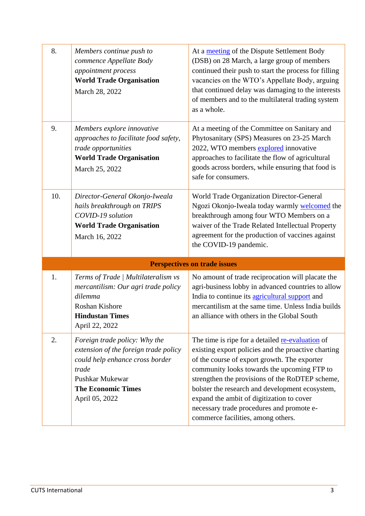| 8.  | Members continue push to<br>commence Appellate Body<br>appointment process<br><b>World Trade Organisation</b><br>March 28, 2022                                                      | At a meeting of the Dispute Settlement Body<br>(DSB) on 28 March, a large group of members<br>continued their push to start the process for filling<br>vacancies on the WTO's Appellate Body, arguing<br>that continued delay was damaging to the interests<br>of members and to the multilateral trading system<br>as a whole.                                                                                                              |
|-----|--------------------------------------------------------------------------------------------------------------------------------------------------------------------------------------|----------------------------------------------------------------------------------------------------------------------------------------------------------------------------------------------------------------------------------------------------------------------------------------------------------------------------------------------------------------------------------------------------------------------------------------------|
| 9.  | Members explore innovative<br>approaches to facilitate food safety,<br>trade opportunities<br><b>World Trade Organisation</b><br>March 25, 2022                                      | At a meeting of the Committee on Sanitary and<br>Phytosanitary (SPS) Measures on 23-25 March<br>2022, WTO members explored innovative<br>approaches to facilitate the flow of agricultural<br>goods across borders, while ensuring that food is<br>safe for consumers.                                                                                                                                                                       |
| 10. | Director-General Okonjo-Iweala<br>hails breakthrough on TRIPS<br>COVID-19 solution<br><b>World Trade Organisation</b><br>March 16, 2022                                              | World Trade Organization Director-General<br>Ngozi Okonjo-Iweala today warmly welcomed the<br>breakthrough among four WTO Members on a<br>waiver of the Trade Related Intellectual Property<br>agreement for the production of vaccines against<br>the COVID-19 pandemic.                                                                                                                                                                    |
|     |                                                                                                                                                                                      | <b>Perspectives on trade issues</b>                                                                                                                                                                                                                                                                                                                                                                                                          |
| 1.  | Terms of Trade   Multilateralism vs<br>mercantilism: Our agri trade policy<br>dilemma<br>Roshan Kishore<br><b>Hindustan Times</b><br>April 22, 2022                                  | No amount of trade reciprocation will placate the<br>agri-business lobby in advanced countries to allow<br>India to continue its agricultural support and<br>mercantilism at the same time. Unless India builds<br>an alliance with others in the Global South                                                                                                                                                                               |
| 2.  | Foreign trade policy: Why the<br>extension of the foreign trade policy<br>could help enhance cross border<br>trade<br>Pushkar Mukewar<br><b>The Economic Times</b><br>April 05, 2022 | The time is ripe for a detailed re-evaluation of<br>existing export policies and the proactive charting<br>of the course of export growth. The exporter<br>community looks towards the upcoming FTP to<br>strengthen the provisions of the RoDTEP scheme,<br>bolster the research and development ecosystem,<br>expand the ambit of digitization to cover<br>necessary trade procedures and promote e-<br>commerce facilities, among others. |